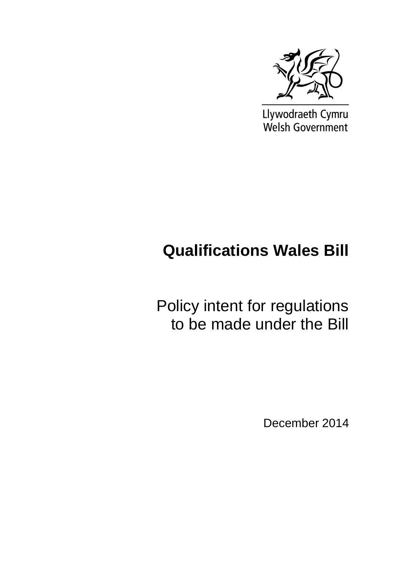

Llywodraeth Cymru Welsh Government

# **Qualifications Wales Bill**

Policy intent for regulations to be made under the Bill

December 2014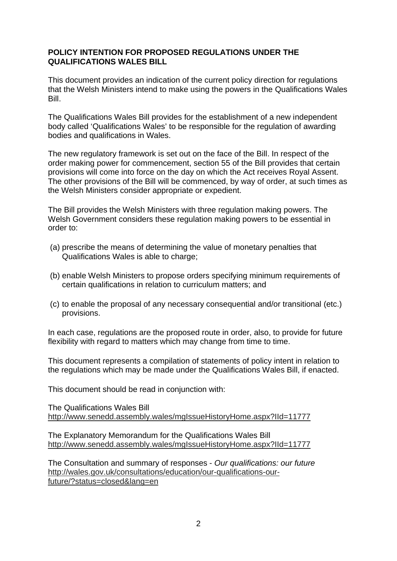## **POLICY INTENTION FOR PROPOSED REGULATIONS UNDER THE QUALIFICATIONS WALES BILL**

This document provides an indication of the current policy direction for regulations that the Welsh Ministers intend to make using the powers in the Qualifications Wales Bill.

The Qualifications Wales Bill provides for the establishment of a new independent body called 'Qualifications Wales' to be responsible for the regulation of awarding bodies and qualifications in Wales.

The new regulatory framework is set out on the face of the Bill. In respect of the order making power for commencement, section 55 of the Bill provides that certain provisions will come into force on the day on which the Act receives Royal Assent. The other provisions of the Bill will be commenced, by way of order, at such times as the Welsh Ministers consider appropriate or expedient.

The Bill provides the Welsh Ministers with three regulation making powers. The Welsh Government considers these regulation making powers to be essential in order to:

- (a) prescribe the means of determining the value of monetary penalties that Qualifications Wales is able to charge;
- (b) enable Welsh Ministers to propose orders specifying minimum requirements of certain qualifications in relation to curriculum matters; and
- (c) to enable the proposal of any necessary consequential and/or transitional (etc.) provisions.

In each case, regulations are the proposed route in order, also, to provide for future flexibility with regard to matters which may change from time to time.

This document represents a compilation of statements of policy intent in relation to the regulations which may be made under the Qualifications Wales Bill, if enacted.

This document should be read in conjunction with:

The Qualifications Wales Bill http://www.senedd.assembly.wales/mgIssueHistoryHome.aspx?IId=11777

The Explanatory Memorandum for the Qualifications Wales Bill http://www.senedd.assembly.wales/mgIssueHistoryHome.aspx?IId=11777

The Consultation and summary of responses - *Our qualifications: our future* http://wales.gov.uk/consultations/education/our-qualifications-ourfuture/?status=closed&lang=en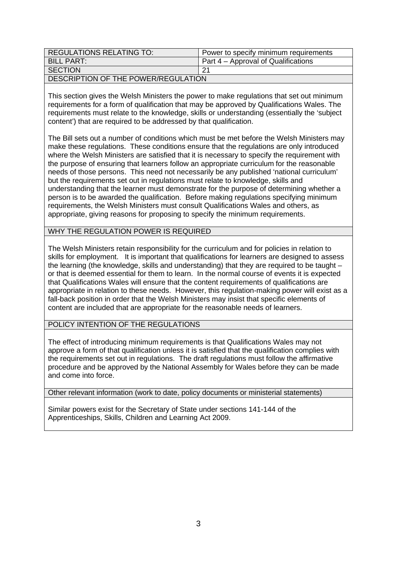| <b>REGULATIONS RELATING TO:</b>     | Power to specify minimum requirements |
|-------------------------------------|---------------------------------------|
| BILL PART:                          | Part 4 – Approval of Qualifications   |
| <b>SECTION</b>                      | -21                                   |
| DESCRIPTION OF THE POWER/REGULATION |                                       |

This section gives the Welsh Ministers the power to make regulations that set out minimum requirements for a form of qualification that may be approved by Qualifications Wales. The requirements must relate to the knowledge, skills or understanding (essentially the 'subject content') that are required to be addressed by that qualification.

The Bill sets out a number of conditions which must be met before the Welsh Ministers may make these regulations. These conditions ensure that the regulations are only introduced where the Welsh Ministers are satisfied that it is necessary to specify the requirement with the purpose of ensuring that learners follow an appropriate curriculum for the reasonable needs of those persons. This need not necessarily be any published 'national curriculum' but the requirements set out in regulations must relate to knowledge, skills and understanding that the learner must demonstrate for the purpose of determining whether a person is to be awarded the qualification. Before making regulations specifying minimum requirements, the Welsh Ministers must consult Qualifications Wales and others, as appropriate, giving reasons for proposing to specify the minimum requirements.

### WHY THE REGULATION POWER IS REQUIRED

The Welsh Ministers retain responsibility for the curriculum and for policies in relation to skills for employment. It is important that qualifications for learners are designed to assess the learning (the knowledge, skills and understanding) that they are required to be taught – or that is deemed essential for them to learn. In the normal course of events it is expected that Qualifications Wales will ensure that the content requirements of qualifications are appropriate in relation to these needs. However, this regulation-making power will exist as a fall-back position in order that the Welsh Ministers may insist that specific elements of content are included that are appropriate for the reasonable needs of learners.

POLICY INTENTION OF THE REGULATIONS

The effect of introducing minimum requirements is that Qualifications Wales may not approve a form of that qualification unless it is satisfied that the qualification complies with the requirements set out in regulations. The draft regulations must follow the affirmative procedure and be approved by the National Assembly for Wales before they can be made and come into force.

Other relevant information (work to date, policy documents or ministerial statements)

Similar powers exist for the Secretary of State under sections 141-144 of the Apprenticeships, Skills, Children and Learning Act 2009.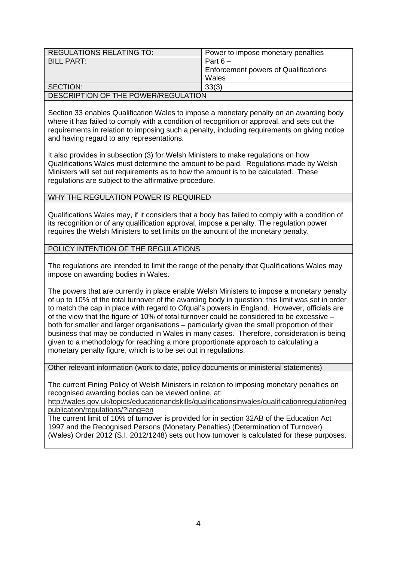| <b>REGULATIONS RELATING TO:</b>     | Power to impose monetary penalties          |
|-------------------------------------|---------------------------------------------|
| BILL PART:                          | Part $6-$                                   |
|                                     | <b>Enforcement powers of Qualifications</b> |
|                                     | Wales                                       |
| SECTION:                            | 33(3)                                       |
| DESCRIPTION OF THE POWER/REGULATION |                                             |

Section 33 enables Qualification Wales to impose a monetary penalty on an awarding body where it has failed to comply with a condition of recognition or approval, and sets out the requirements in relation to imposing such a penalty, including requirements on giving notice and having regard to any representations.

It also provides in subsection (3) for Welsh Ministers to make regulations on how Qualifications Wales must determine the amount to be paid. Regulations made by Welsh Ministers will set out requirements as to how the amount is to be calculated. These regulations are subject to the affirmative procedure.

### WHY THE REGULATION POWER IS REQUIRED.

Qualifications Wales may, if it considers that a body has failed to comply with a condition of its recognition or of any qualification approval, impose a penalty. The regulation power requires the Welsh Ministers to set limits on the amount of the monetary penalty.

#### POLICY INTENTION OF THE REGULATIONS

The regulations are intended to limit the range of the penalty that Qualifications Wales may impose on awarding bodies in Wales.

The powers that are currently in place enable Welsh Ministers to impose a monetary penalty of up to 10% of the total turnover of the awarding body in question: this limit was set in order to match the cap in place with regard to Ofqual's powers in England. However, officials are of the view that the figure of 10% of total turnover could be considered to be excessive – both for smaller and larger organisations – particularly given the small proportion of their business that may be conducted in Wales in many cases. Therefore, consideration is being given to a methodology for reaching a more proportionate approach to calculating a monetary penalty figure, which is to be set out in regulations.

Other relevant information (work to date, policy documents or ministerial statements)

The current Fining Policy of Welsh Ministers in relation to imposing monetary penalties on recognised awarding bodies can be viewed online, at:

http://wales.gov.uk/topics/educationandskills/qualificationsinwales/qualificationregulation/reg publication/regulations/?lang=en

The current limit of 10% of turnover is provided for in section 32AB of the Education Act 1997 and the Recognised Persons (Monetary Penalties) (Determination of Turnover) (Wales) Order 2012 (S.I. 2012/1248) sets out how turnover is calculated for these purposes.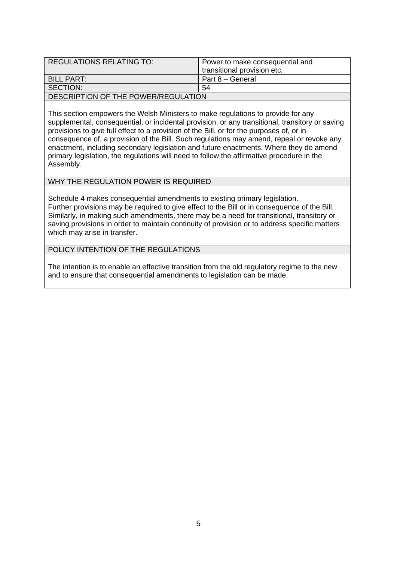| <b>REGULATIONS RELATING TO:</b>     | Power to make consequential and<br>transitional provision etc. |
|-------------------------------------|----------------------------------------------------------------|
| BILL PART:                          | Part 8 - General                                               |
| SECTION:                            | .54                                                            |
| DESCRIPTION OF THE POWER/REGULATION |                                                                |

This section empowers the Welsh Ministers to make regulations to provide for any supplemental, consequential, or incidental provision, or any transitional, transitory or saving provisions to give full effect to a provision of the Bill, or for the purposes of, or in consequence of, a provision of the Bill. Such regulations may amend, repeal or revoke any enactment, including secondary legislation and future enactments. Where they do amend primary legislation, the regulations will need to follow the affirmative procedure in the Assembly.

## WHY THE REGULATION POWER IS REQUIRED

Schedule 4 makes consequential amendments to existing primary legislation. Further provisions may be required to give effect to the Bill or in consequence of the Bill. Similarly, in making such amendments, there may be a need for transitional, transitory or saving provisions in order to maintain continuity of provision or to address specific matters which may arise in transfer.

#### POLICY INTENTION OF THE REGULATIONS

The intention is to enable an effective transition from the old regulatory regime to the new and to ensure that consequential amendments to legislation can be made.